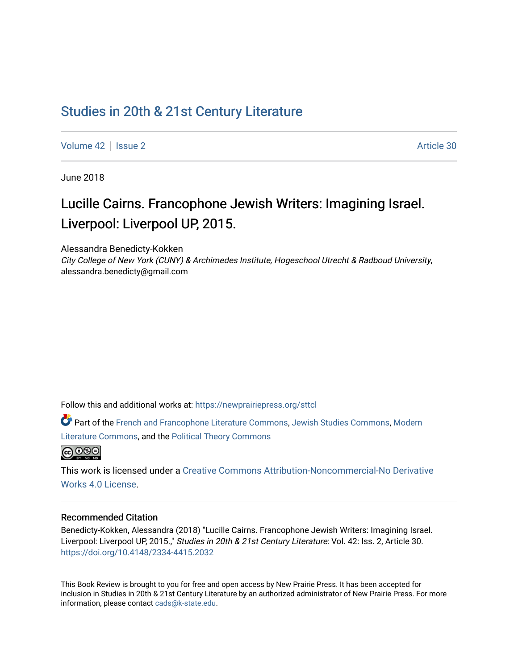## [Studies in 20th & 21st Century Literature](https://newprairiepress.org/sttcl)

[Volume 42](https://newprairiepress.org/sttcl/vol42) | [Issue 2](https://newprairiepress.org/sttcl/vol42/iss2) Article 30

June 2018

# Lucille Cairns. Francophone Jewish Writers: Imagining Israel. Liverpool: Liverpool UP, 2015.

Alessandra Benedicty-Kokken

City College of New York (CUNY) & Archimedes Institute, Hogeschool Utrecht & Radboud University, alessandra.benedicty@gmail.com

Follow this and additional works at: [https://newprairiepress.org/sttcl](https://newprairiepress.org/sttcl?utm_source=newprairiepress.org%2Fsttcl%2Fvol42%2Fiss2%2F30&utm_medium=PDF&utm_campaign=PDFCoverPages) 

Part of the [French and Francophone Literature Commons,](http://network.bepress.com/hgg/discipline/465?utm_source=newprairiepress.org%2Fsttcl%2Fvol42%2Fiss2%2F30&utm_medium=PDF&utm_campaign=PDFCoverPages) [Jewish Studies Commons,](http://network.bepress.com/hgg/discipline/479?utm_source=newprairiepress.org%2Fsttcl%2Fvol42%2Fiss2%2F30&utm_medium=PDF&utm_campaign=PDFCoverPages) [Modern](http://network.bepress.com/hgg/discipline/1050?utm_source=newprairiepress.org%2Fsttcl%2Fvol42%2Fiss2%2F30&utm_medium=PDF&utm_campaign=PDFCoverPages) [Literature Commons,](http://network.bepress.com/hgg/discipline/1050?utm_source=newprairiepress.org%2Fsttcl%2Fvol42%2Fiss2%2F30&utm_medium=PDF&utm_campaign=PDFCoverPages) and the [Political Theory Commons](http://network.bepress.com/hgg/discipline/391?utm_source=newprairiepress.org%2Fsttcl%2Fvol42%2Fiss2%2F30&utm_medium=PDF&utm_campaign=PDFCoverPages)



This work is licensed under a [Creative Commons Attribution-Noncommercial-No Derivative](https://creativecommons.org/licenses/by-nc-nd/4.0/)  [Works 4.0 License](https://creativecommons.org/licenses/by-nc-nd/4.0/).

#### Recommended Citation

Benedicty-Kokken, Alessandra (2018) "Lucille Cairns. Francophone Jewish Writers: Imagining Israel. Liverpool: Liverpool UP, 2015.," Studies in 20th & 21st Century Literature: Vol. 42: Iss. 2, Article 30. <https://doi.org/10.4148/2334-4415.2032>

This Book Review is brought to you for free and open access by New Prairie Press. It has been accepted for inclusion in Studies in 20th & 21st Century Literature by an authorized administrator of New Prairie Press. For more information, please contact [cads@k-state.edu](mailto:cads@k-state.edu).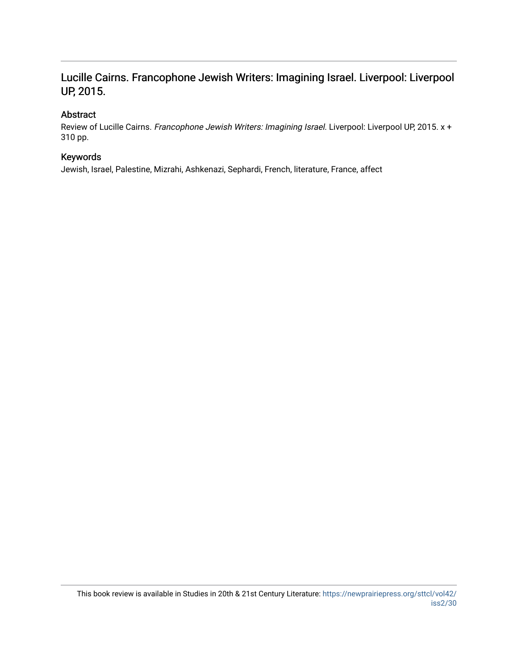## Lucille Cairns. Francophone Jewish Writers: Imagining Israel. Liverpool: Liverpool UP, 2015.

## Abstract

Review of Lucille Cairns. Francophone Jewish Writers: Imagining Israel. Liverpool: Liverpool UP, 2015. x + 310 pp.

## Keywords

Jewish, Israel, Palestine, Mizrahi, Ashkenazi, Sephardi, French, literature, France, affect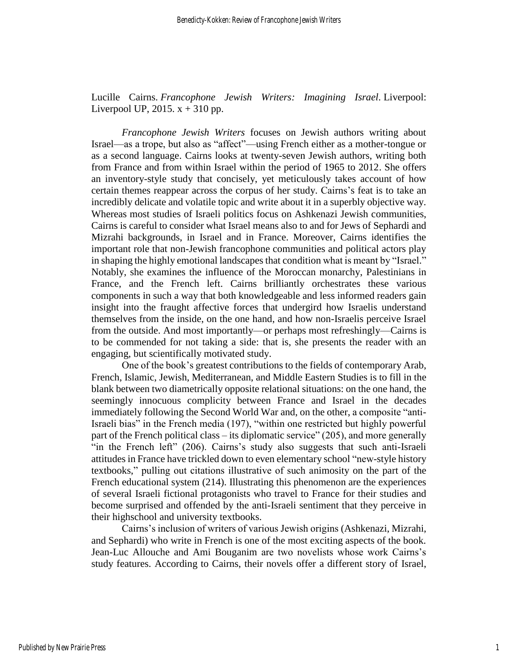Lucille Cairns. *Francophone Jewish Writers: Imagining Israel*. Liverpool: Liverpool UP, 2015.  $x + 310$  pp.

*Francophone Jewish Writers* focuses on Jewish authors writing about Israel—as a trope, but also as "affect"—using French either as a mother-tongue or as a second language. Cairns looks at twenty-seven Jewish authors, writing both from France and from within Israel within the period of 1965 to 2012. She offers an inventory-style study that concisely, yet meticulously takes account of how certain themes reappear across the corpus of her study. Cairns's feat is to take an incredibly delicate and volatile topic and write about it in a superbly objective way. Whereas most studies of Israeli politics focus on Ashkenazi Jewish communities, Cairns is careful to consider what Israel means also to and for Jews of Sephardi and Mizrahi backgrounds, in Israel and in France. Moreover, Cairns identifies the important role that non-Jewish francophone communities and political actors play in shaping the highly emotional landscapes that condition what is meant by "Israel." Notably, she examines the influence of the Moroccan monarchy, Palestinians in France, and the French left. Cairns brilliantly orchestrates these various components in such a way that both knowledgeable and less informed readers gain insight into the fraught affective forces that undergird how Israelis understand themselves from the inside, on the one hand, and how non-Israelis perceive Israel from the outside. And most importantly—or perhaps most refreshingly—Cairns is to be commended for not taking a side: that is, she presents the reader with an engaging, but scientifically motivated study.

One of the book's greatest contributions to the fields of contemporary Arab, French, Islamic, Jewish, Mediterranean, and Middle Eastern Studies is to fill in the blank between two diametrically opposite relational situations: on the one hand, the seemingly innocuous complicity between France and Israel in the decades immediately following the Second World War and, on the other, a composite "anti-Israeli bias" in the French media (197), "within one restricted but highly powerful part of the French political class – its diplomatic service" (205), and more generally "in the French left" (206). Cairns's study also suggests that such anti-Israeli attitudes in France have trickled down to even elementary school "new-style history textbooks," pulling out citations illustrative of such animosity on the part of the French educational system (214). Illustrating this phenomenon are the experiences of several Israeli fictional protagonists who travel to France for their studies and become surprised and offended by the anti-Israeli sentiment that they perceive in their highschool and university textbooks.

Cairns's inclusion of writers of various Jewish origins (Ashkenazi, Mizrahi, and Sephardi) who write in French is one of the most exciting aspects of the book. Jean-Luc Allouche and Ami Bouganim are two novelists whose work Cairns's study features. According to Cairns, their novels offer a different story of Israel,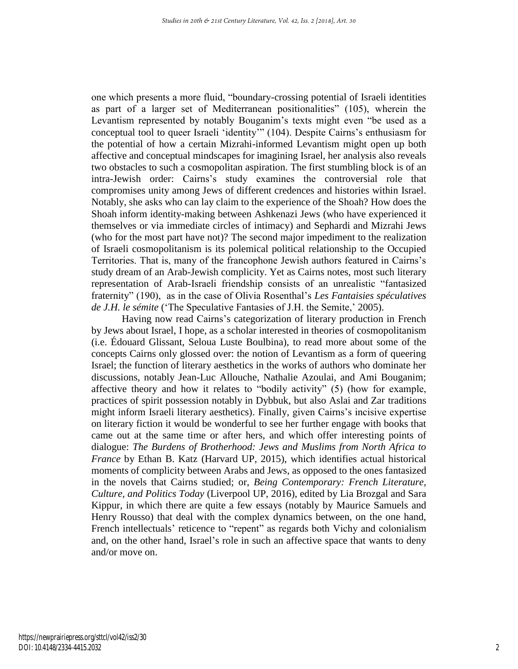one which presents a more fluid, "boundary-crossing potential of Israeli identities as part of a larger set of Mediterranean positionalities" (105), wherein the Levantism represented by notably Bouganim's texts might even "be used as a conceptual tool to queer Israeli 'identity'" (104). Despite Cairns's enthusiasm for the potential of how a certain Mizrahi-informed Levantism might open up both affective and conceptual mindscapes for imagining Israel, her analysis also reveals two obstacles to such a cosmopolitan aspiration. The first stumbling block is of an intra-Jewish order: Cairns's study examines the controversial role that compromises unity among Jews of different credences and histories within Israel. Notably, she asks who can lay claim to the experience of the Shoah? How does the Shoah inform identity-making between Ashkenazi Jews (who have experienced it themselves or via immediate circles of intimacy) and Sephardi and Mizrahi Jews (who for the most part have not)? The second major impediment to the realization of Israeli cosmopolitanism is its polemical political relationship to the Occupied Territories. That is, many of the francophone Jewish authors featured in Cairns's study dream of an Arab-Jewish complicity. Yet as Cairns notes, most such literary representation of Arab-Israeli friendship consists of an unrealistic "fantasized fraternity" (190), as in the case of Olivia Rosenthal's *Les Fantaisies spéculatives de J.H. le sémite* ('The Speculative Fantasies of J.H. the Semite,' 2005).

Having now read Cairns's categorization of literary production in French by Jews about Israel, I hope, as a scholar interested in theories of cosmopolitanism (i.e. Édouard Glissant, Seloua Luste Boulbina), to read more about some of the concepts Cairns only glossed over: the notion of Levantism as a form of queering Israel; the function of literary aesthetics in the works of authors who dominate her discussions, notably Jean-Luc Allouche, Nathalie Azoulai, and Ami Bouganim; affective theory and how it relates to "bodily activity" (5) (how for example, practices of spirit possession notably in Dybbuk, but also Aslai and Zar traditions might inform Israeli literary aesthetics). Finally, given Cairns's incisive expertise on literary fiction it would be wonderful to see her further engage with books that came out at the same time or after hers, and which offer interesting points of dialogue: *The Burdens of Brotherhood: Jews and Muslims from North Africa to France* by Ethan B. Katz (Harvard UP, 2015), which identifies actual historical moments of complicity between Arabs and Jews, as opposed to the ones fantasized in the novels that Cairns studied; or, *Being Contemporary: French Literature, Culture, and Politics Today* (Liverpool UP, 2016), edited by Lia Brozgal and Sara Kippur, in which there are quite a few essays (notably by Maurice Samuels and Henry Rousso) that deal with the complex dynamics between, on the one hand, French intellectuals' reticence to "repent" as regards both Vichy and colonialism and, on the other hand, Israel's role in such an affective space that wants to deny and/or move on.